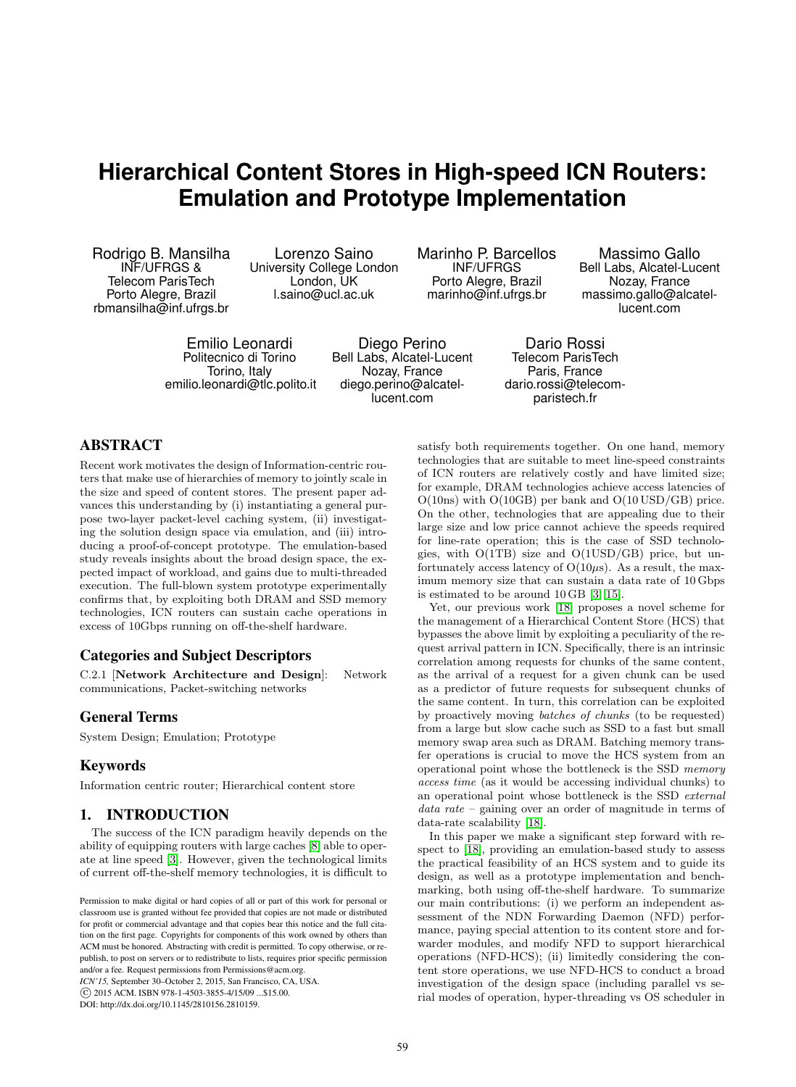# **Hierarchical Content Stores in High-speed ICN Routers: Emulation and Prototype Implementation**

Rodrigo B. Mansilha INF/UFRGS & Telecom ParisTech Porto Alegre, Brazil rbmansilha@inf.ufrgs.br

Lorenzo Saino University College London London, UK l.saino@ucl.ac.uk

Marinho P. Barcellos INF/UFRGS Porto Alegre, Brazil marinho@inf.ufrgs.br

Massimo Gallo Bell Labs, Alcatel-Lucent Nozay, France massimo.gallo@alcatellucent.com

Emilio Leonardi Politecnico di Torino Torino, Italy emilio.leonardi@tlc.polito.it

Diego Perino Bell Labs, Alcatel-Lucent Nozay, France diego.perino@alcatellucent.com

Dario Rossi Telecom ParisTech Paris, France dario.rossi@telecomparistech.fr

# ABSTRACT

Recent work motivates the design of Information-centric routers that make use of hierarchies of memory to jointly scale in the size and speed of content stores. The present paper advances this understanding by (i) instantiating a general purpose two-layer packet-level caching system, (ii) investigating the solution design space via emulation, and (iii) introducing a proof-of-concept prototype. The emulation-based study reveals insights about the broad design space, the expected impact of workload, and gains due to multi-threaded execution. The full-blown system prototype experimentally confirms that, by exploiting both DRAM and SSD memory technologies, ICN routers can sustain cache operations in excess of 10Gbps running on off-the-shelf hardware.

# Categories and Subject Descriptors

C.2.1 [Network Architecture and Design]: Network communications, Packet-switching networks

## General Terms

System Design; Emulation; Prototype

## Keywords

Information centric router; Hierarchical content store

## 1. INTRODUCTION

The success of the ICN paradigm heavily depends on the ability of equipping routers with large caches [\[8\]](#page-8-0) able to operate at line speed [\[3\]](#page-8-1). However, given the technological limits of current off-the-shelf memory technologies, it is difficult to

*ICN'15,* September 30–October 2, 2015, San Francisco, CA, USA.

c 2015 ACM. ISBN 978-1-4503-3855-4/15/09 ...\$15.00.

DOI: http://dx.doi.org/10.1145/2810156.2810159.

satisfy both requirements together. On one hand, memory technologies that are suitable to meet line-speed constraints of ICN routers are relatively costly and have limited size; for example, DRAM technologies achieve access latencies of  $O(10 \text{ns})$  with  $O(10 \text{GB})$  per bank and  $O(10 \text{USD}/\text{GB})$  price. On the other, technologies that are appealing due to their large size and low price cannot achieve the speeds required for line-rate operation; this is the case of SSD technologies, with  $O(1TB)$  size and  $O(1USD/GB)$  price, but unfortunately access latency of  $O(10\mu s)$ . As a result, the maximum memory size that can sustain a data rate of 10 Gbps is estimated to be around 10 GB [\[3,](#page-8-1) [15\]](#page-9-0).

Yet, our previous work [\[18\]](#page-9-1) proposes a novel scheme for the management of a Hierarchical Content Store (HCS) that bypasses the above limit by exploiting a peculiarity of the request arrival pattern in ICN. Specifically, there is an intrinsic correlation among requests for chunks of the same content, as the arrival of a request for a given chunk can be used as a predictor of future requests for subsequent chunks of the same content. In turn, this correlation can be exploited by proactively moving batches of chunks (to be requested) from a large but slow cache such as SSD to a fast but small memory swap area such as DRAM. Batching memory transfer operations is crucial to move the HCS system from an operational point whose the bottleneck is the SSD memory access time (as it would be accessing individual chunks) to an operational point whose bottleneck is the SSD external data rate – gaining over an order of magnitude in terms of data-rate scalability [\[18\]](#page-9-1).

In this paper we make a significant step forward with respect to [\[18\]](#page-9-1), providing an emulation-based study to assess the practical feasibility of an HCS system and to guide its design, as well as a prototype implementation and benchmarking, both using off-the-shelf hardware. To summarize our main contributions: (i) we perform an independent assessment of the NDN Forwarding Daemon (NFD) performance, paying special attention to its content store and forwarder modules, and modify NFD to support hierarchical operations (NFD-HCS); (ii) limitedly considering the content store operations, we use NFD-HCS to conduct a broad investigation of the design space (including parallel vs serial modes of operation, hyper-threading vs OS scheduler in

Permission to make digital or hard copies of all or part of this work for personal or classroom use is granted without fee provided that copies are not made or distributed for profit or commercial advantage and that copies bear this notice and the full citation on the first page. Copyrights for components of this work owned by others than ACM must be honored. Abstracting with credit is permitted. To copy otherwise, or republish, to post on servers or to redistribute to lists, requires prior specific permission and/or a fee. Request permissions from Permissions@acm.org.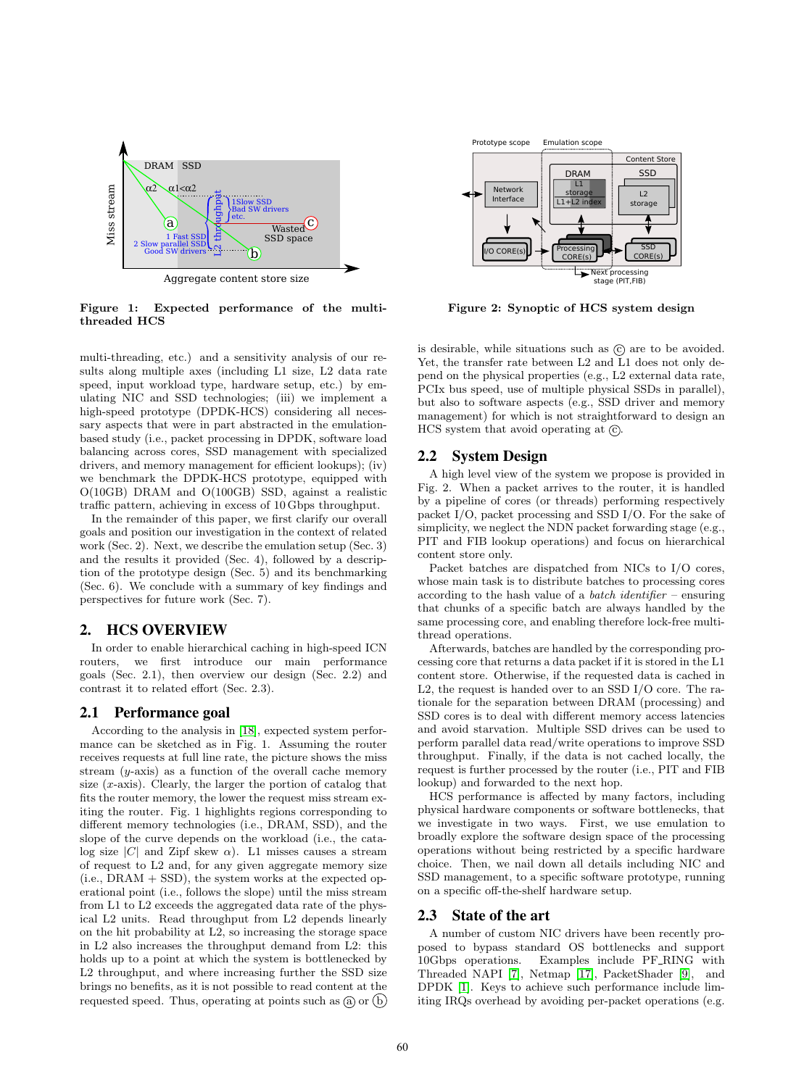

Figure 1: Expected performance of the multithreaded HCS

multi-threading, etc.) and a sensitivity analysis of our results along multiple axes (including L1 size, L2 data rate speed, input workload type, hardware setup, etc.) by emulating NIC and SSD technologies; (iii) we implement a high-speed prototype (DPDK-HCS) considering all necessary aspects that were in part abstracted in the emulationbased study (i.e., packet processing in DPDK, software load balancing across cores, SSD management with specialized drivers, and memory management for efficient lookups); (iv) we benchmark the DPDK-HCS prototype, equipped with O(10GB) DRAM and O(100GB) SSD, against a realistic traffic pattern, achieving in excess of 10 Gbps throughput.

In the remainder of this paper, we first clarify our overall goals and position our investigation in the context of related work (Sec. 2). Next, we describe the emulation setup (Sec. 3) and the results it provided (Sec. 4), followed by a description of the prototype design (Sec. 5) and its benchmarking (Sec. 6). We conclude with a summary of key findings and perspectives for future work (Sec. 7).

## 2. HCS OVERVIEW

In order to enable hierarchical caching in high-speed ICN routers, we first introduce our main performance goals (Sec. 2.1), then overview our design (Sec. 2.2) and contrast it to related effort (Sec. 2.3).

#### 2.1 Performance goal

According to the analysis in [\[18\]](#page-9-1), expected system performance can be sketched as in Fig. 1. Assuming the router receives requests at full line rate, the picture shows the miss stream  $(y\text{-axis})$  as a function of the overall cache memory size  $(x\text{-axis})$ . Clearly, the larger the portion of catalog that fits the router memory, the lower the request miss stream exiting the router. Fig. 1 highlights regions corresponding to different memory technologies (i.e., DRAM, SSD), and the slope of the curve depends on the workload (i.e., the catalog size  $|C|$  and Zipf skew  $\alpha$ ). L1 misses causes a stream of request to L2 and, for any given aggregate memory size  $(i.e., DRAM + SSD)$ , the system works at the expected operational point (i.e., follows the slope) until the miss stream from L1 to L2 exceeds the aggregated data rate of the physical L2 units. Read throughput from L2 depends linearly on the hit probability at L2, so increasing the storage space in L2 also increases the throughput demand from L2: this holds up to a point at which the system is bottlenecked by L2 throughput, and where increasing further the SSD size brings no benefits, as it is not possible to read content at the requested speed. Thus, operating at points such as  $\alpha$  or  $\beta$ 



Figure 2: Synoptic of HCS system design

is desirable, while situations such as  $\odot$  are to be avoided. Yet, the transfer rate between L2 and L1 does not only depend on the physical properties (e.g., L2 external data rate, PCIx bus speed, use of multiple physical SSDs in parallel), but also to software aspects (e.g., SSD driver and memory management) for which is not straightforward to design an  $HCS$  system that avoid operating at  $\odot$ .

#### 2.2 System Design

A high level view of the system we propose is provided in Fig. 2. When a packet arrives to the router, it is handled by a pipeline of cores (or threads) performing respectively packet I/O, packet processing and SSD I/O. For the sake of simplicity, we neglect the NDN packet forwarding stage (e.g., PIT and FIB lookup operations) and focus on hierarchical content store only.

Packet batches are dispatched from NICs to I/O cores, whose main task is to distribute batches to processing cores according to the hash value of a batch identifier – ensuring that chunks of a specific batch are always handled by the same processing core, and enabling therefore lock-free multithread operations.

Afterwards, batches are handled by the corresponding processing core that returns a data packet if it is stored in the L1 content store. Otherwise, if the requested data is cached in L2, the request is handed over to an SSD I/O core. The rationale for the separation between DRAM (processing) and SSD cores is to deal with different memory access latencies and avoid starvation. Multiple SSD drives can be used to perform parallel data read/write operations to improve SSD throughput. Finally, if the data is not cached locally, the request is further processed by the router (i.e., PIT and FIB lookup) and forwarded to the next hop.

HCS performance is affected by many factors, including physical hardware components or software bottlenecks, that we investigate in two ways. First, we use emulation to broadly explore the software design space of the processing operations without being restricted by a specific hardware choice. Then, we nail down all details including NIC and SSD management, to a specific software prototype, running on a specific off-the-shelf hardware setup.

## 2.3 State of the art

A number of custom NIC drivers have been recently proposed to bypass standard OS bottlenecks and support 10Gbps operations. Examples include PF RING with Threaded NAPI [\[7\]](#page-8-2), Netmap [\[17\]](#page-9-2), PacketShader [\[9\]](#page-9-3), and DPDK [\[1\]](#page-8-3). Keys to achieve such performance include limiting IRQs overhead by avoiding per-packet operations (e.g.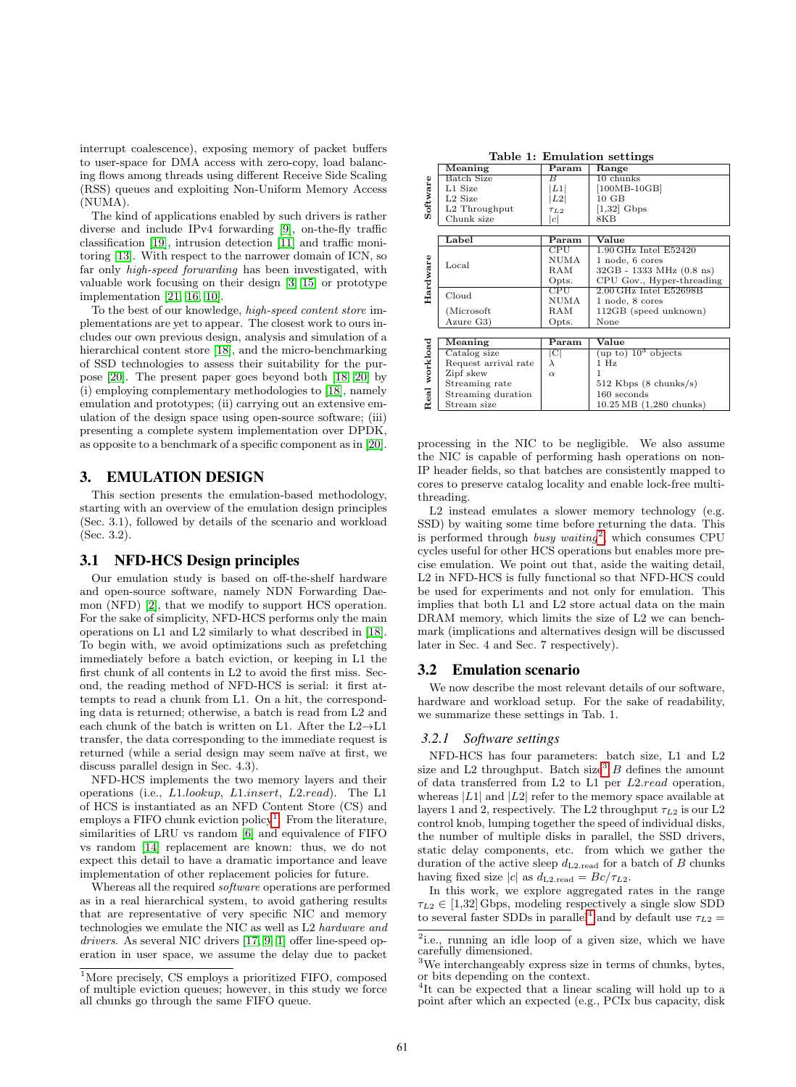interrupt coalescence), exposing memory of packet buffers to user-space for DMA access with zero-copy, load balancing flows among threads using different Receive Side Scaling (RSS) queues and exploiting Non-Uniform Memory Access (NUMA).

The kind of applications enabled by such drivers is rather diverse and include IPv4 forwarding [\[9\]](#page-9-3), on-the-fly traffic classification [\[19\]](#page-9-4), intrusion detection [\[11\]](#page-9-5) and traffic monitoring [\[13\]](#page-9-6). With respect to the narrower domain of ICN, so far only high-speed forwarding has been investigated, with valuable work focusing on their design [\[3,](#page-8-1) [15\]](#page-9-0) or prototype implementation [\[21,](#page-9-7) [16,](#page-9-8) [10\]](#page-9-9).

To the best of our knowledge, high-speed content store implementations are yet to appear. The closest work to ours includes our own previous design, analysis and simulation of a hierarchical content store [\[18\]](#page-9-1), and the micro-benchmarking of SSD technologies to assess their suitability for the purpose [\[20\]](#page-9-10). The present paper goes beyond both [\[18,](#page-9-1) [20\]](#page-9-10) by (i) employing complementary methodologies to [\[18\]](#page-9-1), namely emulation and prototypes; (ii) carrying out an extensive emulation of the design space using open-source software; (iii) presenting a complete system implementation over DPDK, as opposite to a benchmark of a specific component as in [\[20\]](#page-9-10).

## 3. EMULATION DESIGN

This section presents the emulation-based methodology, starting with an overview of the emulation design principles (Sec. 3.1), followed by details of the scenario and workload (Sec. 3.2).

#### 3.1 NFD-HCS Design principles

Our emulation study is based on off-the-shelf hardware and open-source software, namely NDN Forwarding Daemon (NFD) [\[2\]](#page-8-4), that we modify to support HCS operation. For the sake of simplicity, NFD-HCS performs only the main operations on L1 and L2 similarly to what described in [\[18\]](#page-9-1). To begin with, we avoid optimizations such as prefetching immediately before a batch eviction, or keeping in L1 the first chunk of all contents in L2 to avoid the first miss. Second, the reading method of NFD-HCS is serial: it first attempts to read a chunk from L1. On a hit, the corresponding data is returned; otherwise, a batch is read from L2 and each chunk of the batch is written on L1. After the  $L2 \rightarrow L1$ transfer, the data corresponding to the immediate request is returned (while a serial design may seem naïve at first, we discuss parallel design in Sec. 4.3).

NFD-HCS implements the two memory layers and their operations (i.e., L1.lookup, L1.insert, L2.read). The L1 of HCS is instantiated as an NFD Content Store (CS) and employs a FIFO chunk eviction policy<sup>[1](#page-2-0)</sup>. From the literature, similarities of LRU vs random [\[6\]](#page-8-5) and equivalence of FIFO vs random [\[14\]](#page-9-11) replacement are known: thus, we do not expect this detail to have a dramatic importance and leave implementation of other replacement policies for future.

Whereas all the required software operations are performed as in a real hierarchical system, to avoid gathering results that are representative of very specific NIC and memory technologies we emulate the NIC as well as L2 hardware and drivers. As several NIC drivers [\[17,](#page-9-2) [9,](#page-9-3) [1\]](#page-8-3) offer line-speed operation in user space, we assume the delay due to packet

|  |  | Table 1: Emulation settings |
|--|--|-----------------------------|
|  |  |                             |

|          | rabic 1. Emidiation settings |                             |                                             |  |  |
|----------|------------------------------|-----------------------------|---------------------------------------------|--|--|
|          | Meaning                      | $\operatorname{Param}$      | Range                                       |  |  |
| Software | Batch Size                   | В                           | $\overline{10}$ chunks                      |  |  |
|          | L1 Size                      | L1                          | $[100MB-10GB]$                              |  |  |
|          | L <sub>2</sub> Size          | L2                          | $10$ GB                                     |  |  |
|          | L2 Throughput                | $\tau_{L2}$                 | $[1,32]$ Gbps                               |  |  |
|          | Chunk size                   | c                           | 8KB                                         |  |  |
|          |                              |                             |                                             |  |  |
|          | ${\rm \scriptstyle Label}$   | $\overline{\mathrm{Param}}$ | $\overline{\text{Value}}$                   |  |  |
| Hardware |                              | $_{\rm CPU}$                | $1.90$ GHz Intel E52420                     |  |  |
|          | Local                        | <b>NUMA</b>                 | 1 node, 6 cores                             |  |  |
|          |                              | RAM                         | 32GB - 1333 MHz (0.8 ns)                    |  |  |
|          |                              | Opts.                       | CPU Gov., Hyper-threading                   |  |  |
|          | Cloud                        | $_{\mathrm{CPU}}$           | $2.00$ GHz Intel E52698B                    |  |  |
|          |                              | <b>NUMA</b>                 | 1 node, 8 cores                             |  |  |
|          | (Microsoft                   | RAM                         | 112GB (speed unknown)                       |  |  |
|          | Azure G3)                    | Opts.                       | None                                        |  |  |
|          |                              |                             |                                             |  |  |
|          | Meaning                      | Param                       | Value                                       |  |  |
| workload | Catalog size                 | $ \mathrm{C} $              | (up to) $10^3$ objects                      |  |  |
|          | Request arrival rate         | $\lambda$                   | $1$ Hz                                      |  |  |
|          | Zipf skew                    | $\alpha$                    |                                             |  |  |
| Real     | Streaming rate               |                             | $512$ Kbps $(8 \text{ chunks/s})$           |  |  |
|          | Streaming duration           |                             | $160$ seconds                               |  |  |
|          | Stream size                  |                             | $10.25 \text{ MB}$ $(1,280 \text{ chunks})$ |  |  |
|          |                              |                             |                                             |  |  |

processing in the NIC to be negligible. We also assume the NIC is capable of performing hash operations on non-IP header fields, so that batches are consistently mapped to cores to preserve catalog locality and enable lock-free multithreading.

L2 instead emulates a slower memory technology (e.g. SSD) by waiting some time before returning the data. This is performed through *busy waiting*<sup>[2](#page-2-1)</sup>, which consumes CPU cycles useful for other HCS operations but enables more precise emulation. We point out that, aside the waiting detail, L2 in NFD-HCS is fully functional so that NFD-HCS could be used for experiments and not only for emulation. This implies that both L1 and L2 store actual data on the main DRAM memory, which limits the size of L2 we can benchmark (implications and alternatives design will be discussed later in Sec. 4 and Sec. 7 respectively).

## 3.2 Emulation scenario

We now describe the most relevant details of our software, hardware and workload setup. For the sake of readability, we summarize these settings in Tab. 1.

## *3.2.1 Software settings*

NFD-HCS has four parameters: batch size, L1 and L2 size and L2 throughput. Batch size<sup>[3](#page-2-2)</sup> B defines the amount of data transferred from L2 to L1 per L2.read operation, whereas  $|L1|$  and  $|L2|$  refer to the memory space available at layers 1 and 2, respectively. The L2 throughput  $\tau_{L2}$  is our L2 control knob, lumping together the speed of individual disks, the number of multiple disks in parallel, the SSD drivers, static delay components, etc. from which we gather the duration of the active sleep  $d_{L2,read}$  for a batch of B chunks having fixed size |c| as  $d_{L2, read} = Bc/\tau_{L2}$ .

In this work, we explore aggregated rates in the range  $\tau_{L2} \in [1,32]$  Gbps, modeling respectively a single slow SDD to several faster SDDs in parallel<sup>[4](#page-2-3)</sup> and by default use  $\tau_{L2}$  =

<span id="page-2-0"></span><sup>1</sup>More precisely, CS employs a prioritized FIFO, composed of multiple eviction queues; however, in this study we force all chunks go through the same FIFO queue.

<span id="page-2-1"></span><sup>2</sup> i.e., running an idle loop of a given size, which we have carefully dimensioned.

<span id="page-2-2"></span><sup>&</sup>lt;sup>3</sup>We interchangeably express size in terms of chunks, bytes, or bits depending on the context.

<span id="page-2-3"></span><sup>4</sup> It can be expected that a linear scaling will hold up to a point after which an expected (e.g., PCIx bus capacity, disk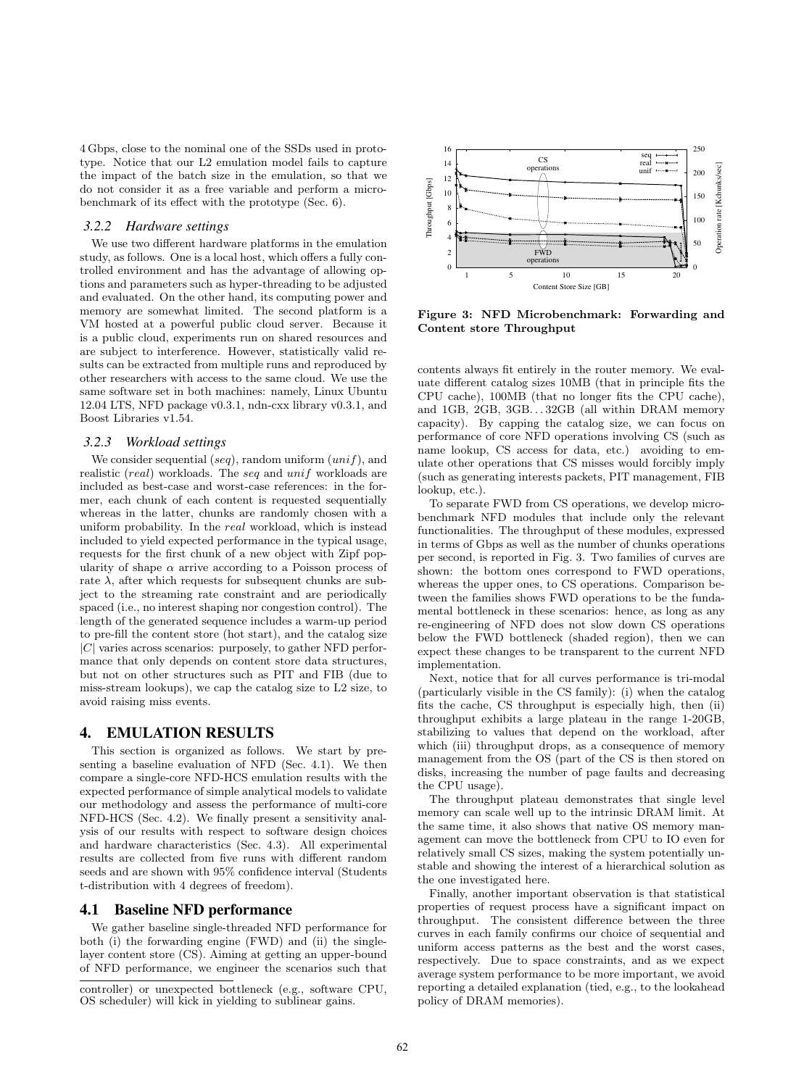4 Gbps, close to the nominal one of the SSDs used in prototype. Notice that our L2 emulation model fails to capture the impact of the batch size in the emulation, so that we do not consider it as a free variable and perform a microbenchmark of its effect with the prototype (Sec. 6).

#### *3.2.2 Hardware settings*

We use two different hardware platforms in the emulation study, as follows. One is a local host, which offers a fully controlled environment and has the advantage of allowing options and parameters such as hyper-threading to be adjusted and evaluated. On the other hand, its computing power and memory are somewhat limited. The second platform is a VM hosted at a powerful public cloud server. Because it is a public cloud, experiments run on shared resources and are subject to interference. However, statistically valid results can be extracted from multiple runs and reproduced by other researchers with access to the same cloud. We use the same software set in both machines: namely, Linux Ubuntu 12.04 LTS, NFD package v0.3.1, ndn-cxx library v0.3.1, and Boost Libraries v1.54.

#### *3.2.3 Workload settings*

We consider sequential (seq), random uniform  $(unif)$ , and realistic (real) workloads. The seq and unif workloads are included as best-case and worst-case references: in the former, each chunk of each content is requested sequentially whereas in the latter, chunks are randomly chosen with a uniform probability. In the *real* workload, which is instead included to yield expected performance in the typical usage, requests for the first chunk of a new object with Zipf popularity of shape  $\alpha$  arrive according to a Poisson process of rate  $\lambda$ , after which requests for subsequent chunks are subject to the streaming rate constraint and are periodically spaced (i.e., no interest shaping nor congestion control). The length of the generated sequence includes a warm-up period to pre-fill the content store (hot start), and the catalog size  $|C|$  varies across scenarios: purposely, to gather NFD performance that only depends on content store data structures, but not on other structures such as PIT and FIB (due to miss-stream lookups), we cap the catalog size to L2 size, to avoid raising miss events.

# 4. EMULATION RESULTS

This section is organized as follows. We start by presenting a baseline evaluation of NFD (Sec. 4.1). We then compare a single-core NFD-HCS emulation results with the expected performance of simple analytical models to validate our methodology and assess the performance of multi-core NFD-HCS (Sec. 4.2). We finally present a sensitivity analysis of our results with respect to software design choices and hardware characteristics (Sec. 4.3). All experimental results are collected from five runs with different random seeds and are shown with 95% confidence interval (Students t-distribution with 4 degrees of freedom).

## 4.1 Baseline NFD performance

We gather baseline single-threaded NFD performance for both (i) the forwarding engine (FWD) and (ii) the singlelayer content store (CS). Aiming at getting an upper-bound of NFD performance, we engineer the scenarios such that



Figure 3: NFD Microbenchmark: Forwarding and Content store Throughput

contents always fit entirely in the router memory. We evaluate different catalog sizes 10MB (that in principle fits the CPU cache), 100MB (that no longer fits the CPU cache), and 1GB, 2GB, 3GB. . . 32GB (all within DRAM memory capacity). By capping the catalog size, we can focus on performance of core NFD operations involving CS (such as name lookup, CS access for data, etc.) avoiding to emulate other operations that CS misses would forcibly imply (such as generating interests packets, PIT management, FIB lookup, etc.).

To separate FWD from CS operations, we develop microbenchmark NFD modules that include only the relevant functionalities. The throughput of these modules, expressed in terms of Gbps as well as the number of chunks operations per second, is reported in Fig. 3. Two families of curves are shown: the bottom ones correspond to FWD operations, whereas the upper ones, to CS operations. Comparison between the families shows FWD operations to be the fundamental bottleneck in these scenarios: hence, as long as any re-engineering of NFD does not slow down CS operations below the FWD bottleneck (shaded region), then we can expect these changes to be transparent to the current NFD implementation.

Next, notice that for all curves performance is tri-modal (particularly visible in the CS family): (i) when the catalog fits the cache, CS throughput is especially high, then (ii) throughput exhibits a large plateau in the range 1-20GB, stabilizing to values that depend on the workload, after which (iii) throughput drops, as a consequence of memory management from the OS (part of the CS is then stored on disks, increasing the number of page faults and decreasing the CPU usage).

The throughput plateau demonstrates that single level memory can scale well up to the intrinsic DRAM limit. At the same time, it also shows that native OS memory management can move the bottleneck from CPU to IO even for relatively small CS sizes, making the system potentially unstable and showing the interest of a hierarchical solution as the one investigated here.

Finally, another important observation is that statistical properties of request process have a significant impact on throughput. The consistent difference between the three curves in each family confirms our choice of sequential and uniform access patterns as the best and the worst cases, respectively. Due to space constraints, and as we expect average system performance to be more important, we avoid reporting a detailed explanation (tied, e.g., to the lookahead policy of DRAM memories).

controller) or unexpected bottleneck (e.g., software CPU, OS scheduler) will kick in yielding to sublinear gains.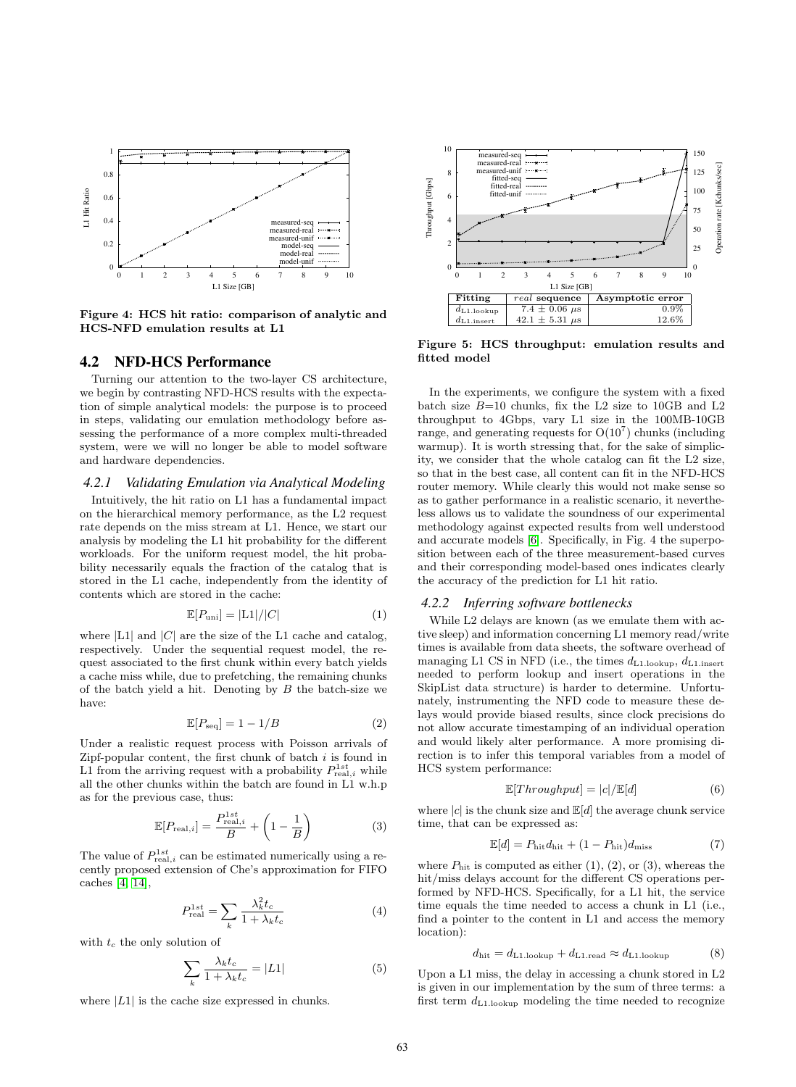

Figure 4: HCS hit ratio: comparison of analytic and HCS-NFD emulation results at L1

## 4.2 NFD-HCS Performance

Turning our attention to the two-layer CS architecture, we begin by contrasting NFD-HCS results with the expectation of simple analytical models: the purpose is to proceed in steps, validating our emulation methodology before assessing the performance of a more complex multi-threaded system, were we will no longer be able to model software and hardware dependencies.

#### *4.2.1 Validating Emulation via Analytical Modeling*

Intuitively, the hit ratio on L1 has a fundamental impact on the hierarchical memory performance, as the L2 request rate depends on the miss stream at L1. Hence, we start our analysis by modeling the L1 hit probability for the different workloads. For the uniform request model, the hit probability necessarily equals the fraction of the catalog that is stored in the L1 cache, independently from the identity of contents which are stored in the cache:

$$
\mathbb{E}[P_{\text{uni}}] = |\mathcal{L}1|/|C| \tag{1}
$$

where  $|L1|$  and  $|C|$  are the size of the L1 cache and catalog, respectively. Under the sequential request model, the request associated to the first chunk within every batch yields a cache miss while, due to prefetching, the remaining chunks of the batch yield a hit. Denoting by  $B$  the batch-size we have:

$$
\mathbb{E}[P_{\text{seq}}] = 1 - 1/B \tag{2}
$$

Under a realistic request process with Poisson arrivals of Zipf-popular content, the first chunk of batch  $i$  is found in L1 from the arriving request with a probability  $P_{\text{real},i}^{1st}$  while all the other chunks within the batch are found in L1 w.h.p as for the previous case, thus:

$$
\mathbb{E}[P_{\text{real},i}] = \frac{P_{\text{real},i}^{1st}}{B} + \left(1 - \frac{1}{B}\right)
$$
 (3)

The value of  $P_{real,i}^{1st}$  can be estimated numerically using a recently proposed extension of Che's approximation for FIFO caches [\[4,](#page-8-6) [14\]](#page-9-11),

$$
P_{\text{real}}^{1st} = \sum_{k} \frac{\lambda_k^2 t_c}{1 + \lambda_k t_c} \tag{4}
$$

with  $t_c$  the only solution of

$$
\sum_{k} \frac{\lambda_k t_c}{1 + \lambda_k t_c} = |L1| \tag{5}
$$

where  $|L1|$  is the cache size expressed in chunks.



Figure 5: HCS throughput: emulation results and fitted model

In the experiments, we configure the system with a fixed batch size  $B=10$  chunks, fix the L2 size to 10GB and L2 throughput to 4Gbps, vary L1 size in the 100MB-10GB range, and generating requests for  $O(10^7)$  chunks (including warmup). It is worth stressing that, for the sake of simplicity, we consider that the whole catalog can fit the L2 size, so that in the best case, all content can fit in the NFD-HCS router memory. While clearly this would not make sense so as to gather performance in a realistic scenario, it nevertheless allows us to validate the soundness of our experimental methodology against expected results from well understood and accurate models [\[6\]](#page-8-5). Specifically, in Fig. 4 the superposition between each of the three measurement-based curves and their corresponding model-based ones indicates clearly the accuracy of the prediction for L1 hit ratio.

#### *4.2.2 Inferring software bottlenecks*

While L2 delays are known (as we emulate them with active sleep) and information concerning L1 memory read/write times is available from data sheets, the software overhead of managing L1 CS in NFD (i.e., the times  $d_{\text{L1.lookup}}$ ,  $d_{\text{L1.insert}}$ needed to perform lookup and insert operations in the SkipList data structure) is harder to determine. Unfortunately, instrumenting the NFD code to measure these delays would provide biased results, since clock precisions do not allow accurate timestamping of an individual operation and would likely alter performance. A more promising direction is to infer this temporal variables from a model of HCS system performance:

$$
\mathbb{E}[Throughput] = |c| / \mathbb{E}[d] \tag{6}
$$

where  $|c|$  is the chunk size and  $\mathbb{E}[d]$  the average chunk service time, that can be expressed as:

$$
\mathbb{E}[d] = P_{\text{hit}}d_{\text{hit}} + (1 - P_{\text{hit}})d_{\text{miss}} \tag{7}
$$

where  $P_{\text{hit}}$  is computed as either  $(1), (2),$  or  $(3),$  whereas the hit/miss delays account for the different CS operations performed by NFD-HCS. Specifically, for a L1 hit, the service time equals the time needed to access a chunk in L1 (i.e., find a pointer to the content in L1 and access the memory location):

$$
d_{\text{hit}} = d_{\text{L1.lookup}} + d_{\text{L1.read}} \approx d_{\text{L1.lookup}} \tag{8}
$$

Upon a L1 miss, the delay in accessing a chunk stored in L2 is given in our implementation by the sum of three terms: a first term  $d_{L1, \text{lookup}}$  modeling the time needed to recognize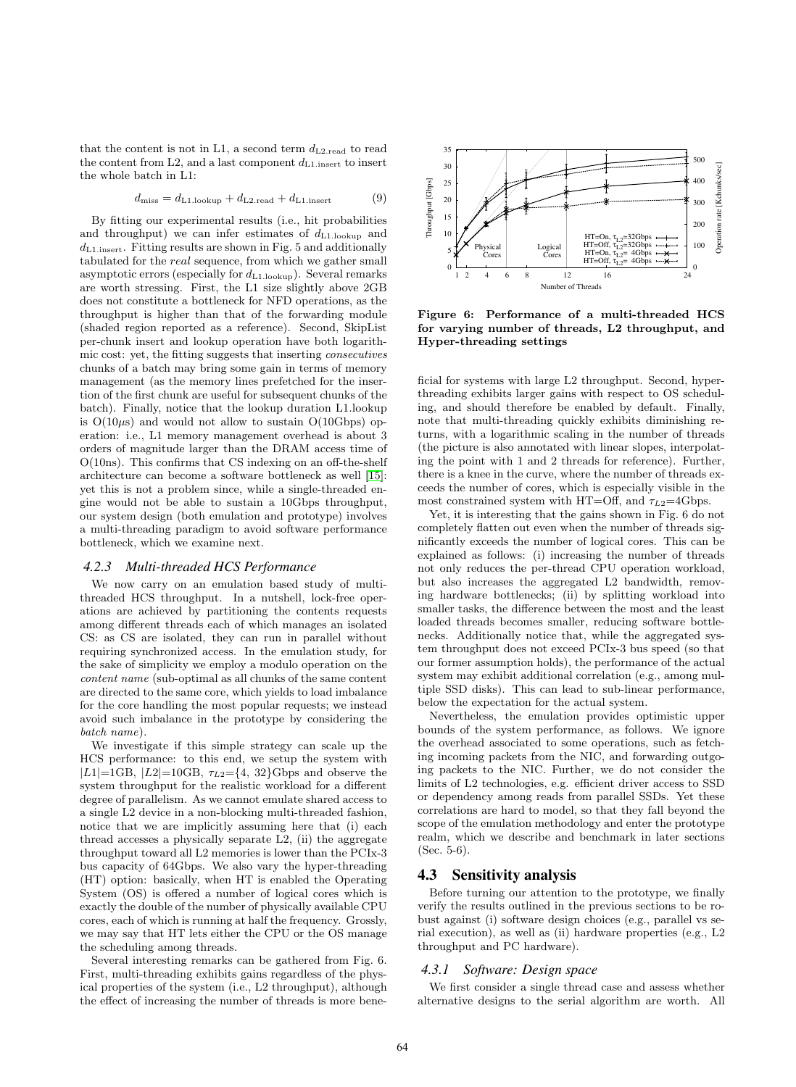that the content is not in L1, a second term  $d_{L2, read}$  to read the content from L2, and a last component  $d_{L1.insert}$  to insert the whole batch in L1:

$$
d_{\text{miss}} = d_{\text{L1.lookup}} + d_{\text{L2.read}} + d_{\text{L1.insert}} \tag{9}
$$

By fitting our experimental results (i.e., hit probabilities and throughput) we can infer estimates of  $d_{L1, \text{lookup}}$  and  $d_{L1.insert}$ . Fitting results are shown in Fig. 5 and additionally tabulated for the real sequence, from which we gather small asymptotic errors (especially for  $d_{L1, \text{lookup}}$ ). Several remarks are worth stressing. First, the L1 size slightly above 2GB does not constitute a bottleneck for NFD operations, as the throughput is higher than that of the forwarding module (shaded region reported as a reference). Second, SkipList per-chunk insert and lookup operation have both logarithmic cost: yet, the fitting suggests that inserting consecutives chunks of a batch may bring some gain in terms of memory management (as the memory lines prefetched for the insertion of the first chunk are useful for subsequent chunks of the batch). Finally, notice that the lookup duration L1.lookup is  $O(10\mu s)$  and would not allow to sustain  $O(10Gbps)$  operation: i.e., L1 memory management overhead is about 3 orders of magnitude larger than the DRAM access time of O(10ns). This confirms that CS indexing on an off-the-shelf architecture can become a software bottleneck as well [\[15\]](#page-9-0): yet this is not a problem since, while a single-threaded engine would not be able to sustain a 10Gbps throughput, our system design (both emulation and prototype) involves a multi-threading paradigm to avoid software performance bottleneck, which we examine next.

#### *4.2.3 Multi-threaded HCS Performance*

We now carry on an emulation based study of multithreaded HCS throughput. In a nutshell, lock-free operations are achieved by partitioning the contents requests among different threads each of which manages an isolated CS: as CS are isolated, they can run in parallel without requiring synchronized access. In the emulation study, for the sake of simplicity we employ a modulo operation on the content name (sub-optimal as all chunks of the same content are directed to the same core, which yields to load imbalance for the core handling the most popular requests; we instead avoid such imbalance in the prototype by considering the batch name).

We investigate if this simple strategy can scale up the HCS performance: to this end, we setup the system with  $|L1|=1GB$ ,  $|L2|=10GB$ ,  $\tau_{L2}=$ {4, 32}Gbps and observe the system throughput for the realistic workload for a different degree of parallelism. As we cannot emulate shared access to a single L2 device in a non-blocking multi-threaded fashion, notice that we are implicitly assuming here that (i) each thread accesses a physically separate L2, (ii) the aggregate throughput toward all L2 memories is lower than the PCIx-3 bus capacity of 64Gbps. We also vary the hyper-threading (HT) option: basically, when HT is enabled the Operating System (OS) is offered a number of logical cores which is exactly the double of the number of physically available CPU cores, each of which is running at half the frequency. Grossly, we may say that HT lets either the CPU or the OS manage the scheduling among threads.

Several interesting remarks can be gathered from Fig. 6. First, multi-threading exhibits gains regardless of the physical properties of the system (i.e., L2 throughput), although the effect of increasing the number of threads is more bene-



Figure 6: Performance of a multi-threaded HCS for varying number of threads, L2 throughput, and Hyper-threading settings

ficial for systems with large L2 throughput. Second, hyperthreading exhibits larger gains with respect to OS scheduling, and should therefore be enabled by default. Finally, note that multi-threading quickly exhibits diminishing returns, with a logarithmic scaling in the number of threads (the picture is also annotated with linear slopes, interpolating the point with 1 and 2 threads for reference). Further, there is a knee in the curve, where the number of threads exceeds the number of cores, which is especially visible in the most constrained system with HT=Off, and  $\tau_{L2}$ =4Gbps.

Yet, it is interesting that the gains shown in Fig. 6 do not completely flatten out even when the number of threads significantly exceeds the number of logical cores. This can be explained as follows: (i) increasing the number of threads not only reduces the per-thread CPU operation workload, but also increases the aggregated L2 bandwidth, removing hardware bottlenecks; (ii) by splitting workload into smaller tasks, the difference between the most and the least loaded threads becomes smaller, reducing software bottlenecks. Additionally notice that, while the aggregated system throughput does not exceed PCIx-3 bus speed (so that our former assumption holds), the performance of the actual system may exhibit additional correlation (e.g., among multiple SSD disks). This can lead to sub-linear performance, below the expectation for the actual system.

Nevertheless, the emulation provides optimistic upper bounds of the system performance, as follows. We ignore the overhead associated to some operations, such as fetching incoming packets from the NIC, and forwarding outgoing packets to the NIC. Further, we do not consider the limits of L2 technologies, e.g. efficient driver access to SSD or dependency among reads from parallel SSDs. Yet these correlations are hard to model, so that they fall beyond the scope of the emulation methodology and enter the prototype realm, which we describe and benchmark in later sections (Sec. 5-6).

#### 4.3 Sensitivity analysis

Before turning our attention to the prototype, we finally verify the results outlined in the previous sections to be robust against (i) software design choices (e.g., parallel vs serial execution), as well as (ii) hardware properties (e.g., L2 throughput and PC hardware).

#### *4.3.1 Software: Design space*

We first consider a single thread case and assess whether alternative designs to the serial algorithm are worth. All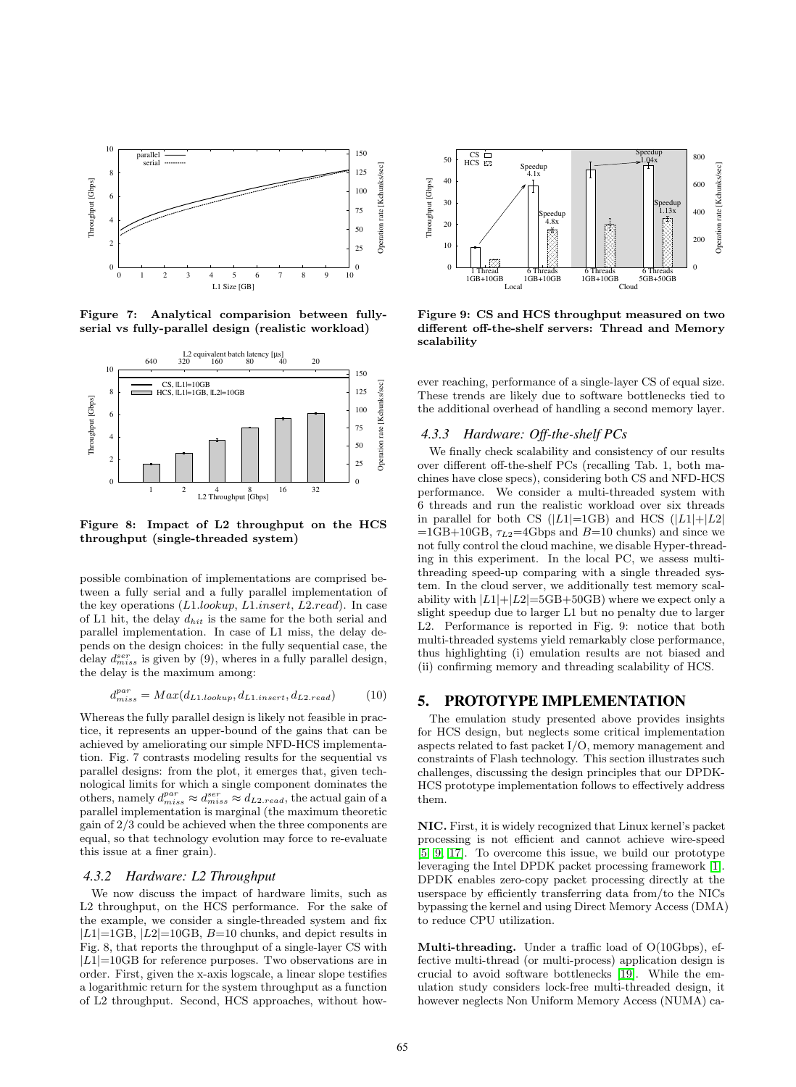

Figure 7: Analytical comparision between fullyserial vs fully-parallel design (realistic workload)



Figure 8: Impact of L2 throughput on the HCS throughput (single-threaded system)

possible combination of implementations are comprised between a fully serial and a fully parallel implementation of the key operations  $(L1.lookup, L1. insert, L2.read)$ . In case of L1 hit, the delay  $d_{hit}$  is the same for the both serial and parallel implementation. In case of L1 miss, the delay depends on the design choices: in the fully sequential case, the delay  $d_{miss}^{ser}$  is given by (9), wheres in a fully parallel design, the delay is the maximum among:

$$
d_{miss}^{par} = Max(d_{L1.lookup}, d_{L1.insert}, d_{L2.read}) \tag{10}
$$

Whereas the fully parallel design is likely not feasible in practice, it represents an upper-bound of the gains that can be achieved by ameliorating our simple NFD-HCS implementation. Fig. 7 contrasts modeling results for the sequential vs parallel designs: from the plot, it emerges that, given technological limits for which a single component dominates the others, namely  $d_{miss}^{par} \approx d_{miss}^{ser} \approx d_{L2,read}$ , the actual gain of a parallel implementation is marginal (the maximum theoretic gain of 2/3 could be achieved when the three components are equal, so that technology evolution may force to re-evaluate this issue at a finer grain).

#### *4.3.2 Hardware: L2 Throughput*

We now discuss the impact of hardware limits, such as L2 throughput, on the HCS performance. For the sake of the example, we consider a single-threaded system and fix  $|L1|=1$ GB,  $|L2|=10$ GB,  $B=10$  chunks, and depict results in Fig. 8, that reports the throughput of a single-layer CS with  $|L1|=10GB$  for reference purposes. Two observations are in order. First, given the x-axis logscale, a linear slope testifies a logarithmic return for the system throughput as a function of L2 throughput. Second, HCS approaches, without how-



Figure 9: CS and HCS throughput measured on two different off-the-shelf servers: Thread and Memory scalability

ever reaching, performance of a single-layer CS of equal size. These trends are likely due to software bottlenecks tied to the additional overhead of handling a second memory layer.

#### *4.3.3 Hardware: Off-the-shelf PCs*

We finally check scalability and consistency of our results over different off-the-shelf PCs (recalling Tab. 1, both machines have close specs), considering both CS and NFD-HCS performance. We consider a multi-threaded system with 6 threads and run the realistic workload over six threads in parallel for both CS ( $|L1|=1GB$ ) and HCS ( $|L1|+|L2|$  $=1$ GB+10GB,  $\tau_{L2}=4$ Gbps and B=10 chunks) and since we not fully control the cloud machine, we disable Hyper-threading in this experiment. In the local PC, we assess multithreading speed-up comparing with a single threaded system. In the cloud server, we additionally test memory scalability with  $|L1|+|L2|=5GB+50GB$  where we expect only a slight speedup due to larger L1 but no penalty due to larger L2. Performance is reported in Fig. 9: notice that both multi-threaded systems yield remarkably close performance, thus highlighting (i) emulation results are not biased and (ii) confirming memory and threading scalability of HCS.

#### 5. PROTOTYPE IMPLEMENTATION

The emulation study presented above provides insights for HCS design, but neglects some critical implementation aspects related to fast packet I/O, memory management and constraints of Flash technology. This section illustrates such challenges, discussing the design principles that our DPDK-HCS prototype implementation follows to effectively address them.

NIC. First, it is widely recognized that Linux kernel's packet processing is not efficient and cannot achieve wire-speed [\[5,](#page-8-7) [9,](#page-9-3) [17\]](#page-9-2). To overcome this issue, we build our prototype leveraging the Intel DPDK packet processing framework [\[1\]](#page-8-3). DPDK enables zero-copy packet processing directly at the userspace by efficiently transferring data from/to the NICs bypassing the kernel and using Direct Memory Access (DMA) to reduce CPU utilization.

Multi-threading. Under a traffic load of O(10Gbps), effective multi-thread (or multi-process) application design is crucial to avoid software bottlenecks [\[19\]](#page-9-4). While the emulation study considers lock-free multi-threaded design, it however neglects Non Uniform Memory Access (NUMA) ca-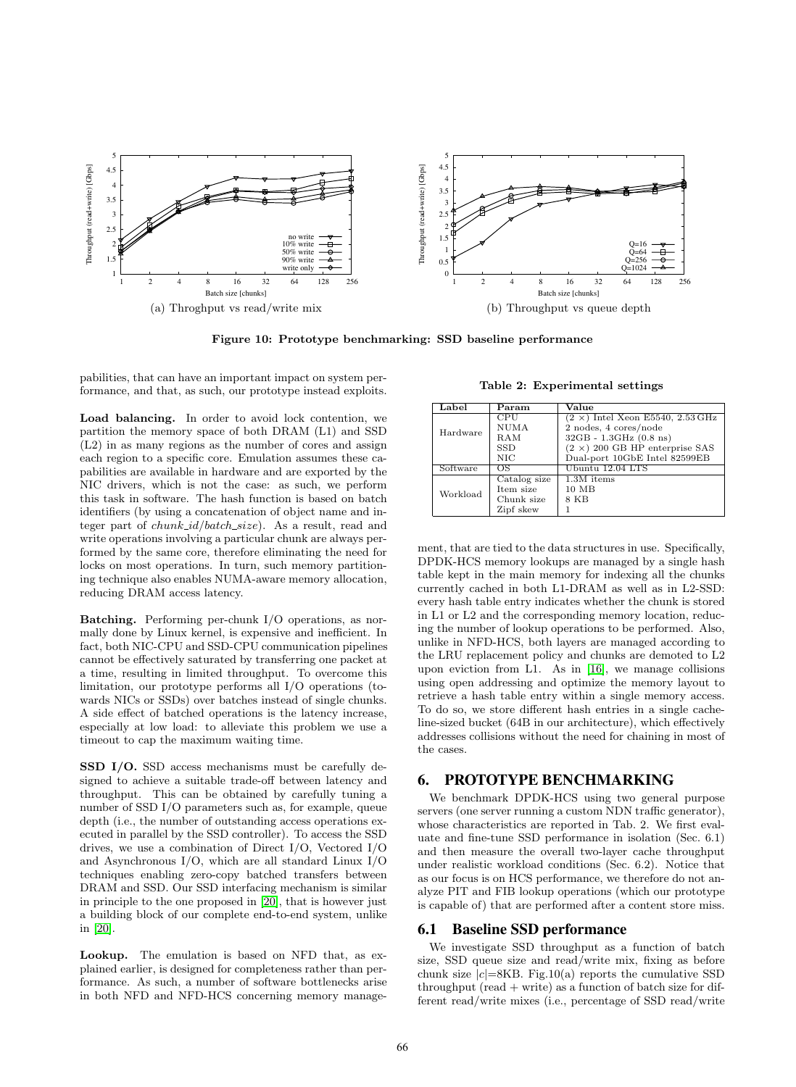

Figure 10: Prototype benchmarking: SSD baseline performance

pabilities, that can have an important impact on system performance, and that, as such, our prototype instead exploits.

Load balancing. In order to avoid lock contention, we partition the memory space of both DRAM (L1) and SSD (L2) in as many regions as the number of cores and assign each region to a specific core. Emulation assumes these capabilities are available in hardware and are exported by the NIC drivers, which is not the case: as such, we perform this task in software. The hash function is based on batch identifiers (by using a concatenation of object name and integer part of *chunk\_id/batch\_size*). As a result, read and write operations involving a particular chunk are always performed by the same core, therefore eliminating the need for locks on most operations. In turn, such memory partitioning technique also enables NUMA-aware memory allocation, reducing DRAM access latency.

Batching. Performing per-chunk I/O operations, as normally done by Linux kernel, is expensive and inefficient. In fact, both NIC-CPU and SSD-CPU communication pipelines cannot be effectively saturated by transferring one packet at a time, resulting in limited throughput. To overcome this limitation, our prototype performs all I/O operations (towards NICs or SSDs) over batches instead of single chunks. A side effect of batched operations is the latency increase, especially at low load: to alleviate this problem we use a timeout to cap the maximum waiting time.

SSD I/O. SSD access mechanisms must be carefully designed to achieve a suitable trade-off between latency and throughput. This can be obtained by carefully tuning a number of SSD I/O parameters such as, for example, queue depth (i.e., the number of outstanding access operations executed in parallel by the SSD controller). To access the SSD drives, we use a combination of Direct I/O, Vectored I/O and Asynchronous I/O, which are all standard Linux I/O techniques enabling zero-copy batched transfers between DRAM and SSD. Our SSD interfacing mechanism is similar in principle to the one proposed in [\[20\]](#page-9-10), that is however just a building block of our complete end-to-end system, unlike in [\[20\]](#page-9-10).

Lookup. The emulation is based on NFD that, as explained earlier, is designed for completeness rather than performance. As such, a number of software bottlenecks arise in both NFD and NFD-HCS concerning memory manage-

Table 2: Experimental settings

| Label    | Param        | $\nabla$ alue                          |
|----------|--------------|----------------------------------------|
|          | CPU          | $(2\times)$ Intel Xeon E5540, 2.53 GHz |
| Hardware | <b>NUMA</b>  | 2 nodes, 4 cores/node                  |
|          | RAM          | $32GB - 1.3GHz (0.8 ns)$               |
|          | <b>SSD</b>   | $(2 \times)$ 200 GB HP enterprise SAS  |
|          | NIC          | Dual-port 10GbE Intel 82599EB          |
| Software | ОS           | Ubuntu 12.04 LTS                       |
| Workload | Catalog size | $1.3M$ items                           |
|          | Item size    | 10~MB                                  |
|          | Chunk size   | 8 KB                                   |
|          | Zipf skew    |                                        |

ment, that are tied to the data structures in use. Specifically, DPDK-HCS memory lookups are managed by a single hash table kept in the main memory for indexing all the chunks currently cached in both L1-DRAM as well as in L2-SSD: every hash table entry indicates whether the chunk is stored in L1 or L2 and the corresponding memory location, reducing the number of lookup operations to be performed. Also, unlike in NFD-HCS, both layers are managed according to the LRU replacement policy and chunks are demoted to L2 upon eviction from L1. As in [\[16\]](#page-9-8), we manage collisions using open addressing and optimize the memory layout to retrieve a hash table entry within a single memory access. To do so, we store different hash entries in a single cacheline-sized bucket (64B in our architecture), which effectively addresses collisions without the need for chaining in most of the cases.

## 6. PROTOTYPE BENCHMARKING

We benchmark DPDK-HCS using two general purpose servers (one server running a custom NDN traffic generator), whose characteristics are reported in Tab. 2. We first evaluate and fine-tune SSD performance in isolation (Sec. 6.1) and then measure the overall two-layer cache throughput under realistic workload conditions (Sec. 6.2). Notice that as our focus is on HCS performance, we therefore do not analyze PIT and FIB lookup operations (which our prototype is capable of) that are performed after a content store miss.

#### 6.1 Baseline SSD performance

We investigate SSD throughput as a function of batch size, SSD queue size and read/write mix, fixing as before chunk size  $|c|=8KB$ . Fig.10(a) reports the cumulative SSD throughput (read  $+$  write) as a function of batch size for different read/write mixes (i.e., percentage of SSD read/write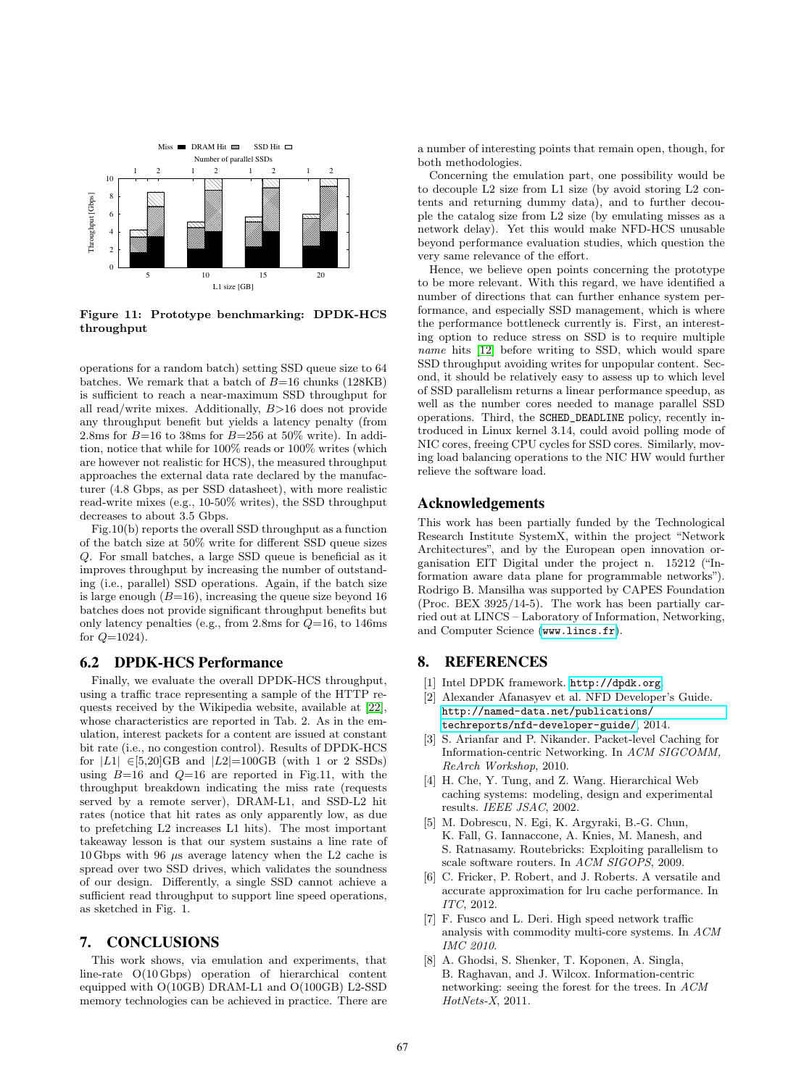

Figure 11: Prototype benchmarking: DPDK-HCS throughput

operations for a random batch) setting SSD queue size to 64 batches. We remark that a batch of  $B=16$  chunks (128KB) is sufficient to reach a near-maximum SSD throughput for all read/write mixes. Additionally, B>16 does not provide any throughput benefit but yields a latency penalty (from 2.8ms for  $B=16$  to 38ms for  $B=256$  at 50% write). In addition, notice that while for 100% reads or 100% writes (which are however not realistic for HCS), the measured throughput approaches the external data rate declared by the manufacturer (4.8 Gbps, as per SSD datasheet), with more realistic read-write mixes (e.g., 10-50% writes), the SSD throughput decreases to about 3.5 Gbps.

Fig.10(b) reports the overall SSD throughput as a function of the batch size at 50% write for different SSD queue sizes Q. For small batches, a large SSD queue is beneficial as it improves throughput by increasing the number of outstanding (i.e., parallel) SSD operations. Again, if the batch size is large enough  $(B=16)$ , increasing the queue size beyond 16 batches does not provide significant throughput benefits but only latency penalties (e.g., from 2.8ms for  $Q=16$ , to 146ms for  $Q=1024$ .

## 6.2 DPDK-HCS Performance

Finally, we evaluate the overall DPDK-HCS throughput, using a traffic trace representing a sample of the HTTP requests received by the Wikipedia website, available at [\[22\]](#page-9-12), whose characteristics are reported in Tab. 2. As in the emulation, interest packets for a content are issued at constant bit rate (i.e., no congestion control). Results of DPDK-HCS for  $|L1| \in [5,20]$ GB and  $|L2|=100$ GB (with 1 or 2 SSDs) using  $B=16$  and  $Q=16$  are reported in Fig.11, with the throughput breakdown indicating the miss rate (requests served by a remote server), DRAM-L1, and SSD-L2 hit rates (notice that hit rates as only apparently low, as due to prefetching L2 increases L1 hits). The most important takeaway lesson is that our system sustains a line rate of 10 Gbps with 96  $\mu$ s average latency when the L2 cache is spread over two SSD drives, which validates the soundness of our design. Differently, a single SSD cannot achieve a sufficient read throughput to support line speed operations, as sketched in Fig. 1.

## 7. CONCLUSIONS

This work shows, via emulation and experiments, that line-rate O(10 Gbps) operation of hierarchical content equipped with O(10GB) DRAM-L1 and O(100GB) L2-SSD memory technologies can be achieved in practice. There are a number of interesting points that remain open, though, for both methodologies.

Concerning the emulation part, one possibility would be to decouple L2 size from L1 size (by avoid storing L2 contents and returning dummy data), and to further decouple the catalog size from L2 size (by emulating misses as a network delay). Yet this would make NFD-HCS unusable beyond performance evaluation studies, which question the very same relevance of the effort.

Hence, we believe open points concerning the prototype to be more relevant. With this regard, we have identified a number of directions that can further enhance system performance, and especially SSD management, which is where the performance bottleneck currently is. First, an interesting option to reduce stress on SSD is to require multiple name hits [\[12\]](#page-9-13) before writing to SSD, which would spare SSD throughput avoiding writes for unpopular content. Second, it should be relatively easy to assess up to which level of SSD parallelism returns a linear performance speedup, as well as the number cores needed to manage parallel SSD operations. Third, the SCHED\_DEADLINE policy, recently introduced in Linux kernel 3.14, could avoid polling mode of NIC cores, freeing CPU cycles for SSD cores. Similarly, moving load balancing operations to the NIC HW would further relieve the software load.

## Acknowledgements

This work has been partially funded by the Technological Research Institute SystemX, within the project "Network Architectures", and by the European open innovation organisation EIT Digital under the project n. 15212 ("Information aware data plane for programmable networks"). Rodrigo B. Mansilha was supported by CAPES Foundation (Proc. BEX 3925/14-5). The work has been partially carried out at LINCS – Laboratory of Information, Networking, and Computer Science (<www.lincs.fr>).

# 8. REFERENCES

- <span id="page-8-3"></span>[1] Intel DPDK framework. <http://dpdk.org>.
- <span id="page-8-4"></span>[2] Alexander Afanasyev et al. NFD Developer's Guide. [http://named-data.net/publications/](http://named-data.net/publications/techreports/nfd-developer-guide/) [techreports/nfd-developer-guide/](http://named-data.net/publications/techreports/nfd-developer-guide/), 2014.
- <span id="page-8-1"></span>[3] S. Arianfar and P. Nikander. Packet-level Caching for Information-centric Networking. In ACM SIGCOMM, ReArch Workshop, 2010.
- <span id="page-8-6"></span>[4] H. Che, Y. Tung, and Z. Wang. Hierarchical Web caching systems: modeling, design and experimental results. IEEE JSAC, 2002.
- <span id="page-8-7"></span>[5] M. Dobrescu, N. Egi, K. Argyraki, B.-G. Chun, K. Fall, G. Iannaccone, A. Knies, M. Manesh, and S. Ratnasamy. Routebricks: Exploiting parallelism to scale software routers. In ACM SIGOPS, 2009.
- <span id="page-8-5"></span>[6] C. Fricker, P. Robert, and J. Roberts. A versatile and accurate approximation for lru cache performance. In ITC, 2012.
- <span id="page-8-2"></span>[7] F. Fusco and L. Deri. High speed network traffic analysis with commodity multi-core systems. In ACM IMC 2010.
- <span id="page-8-0"></span>[8] A. Ghodsi, S. Shenker, T. Koponen, A. Singla, B. Raghavan, and J. Wilcox. Information-centric networking: seeing the forest for the trees. In ACM HotNets-X, 2011.